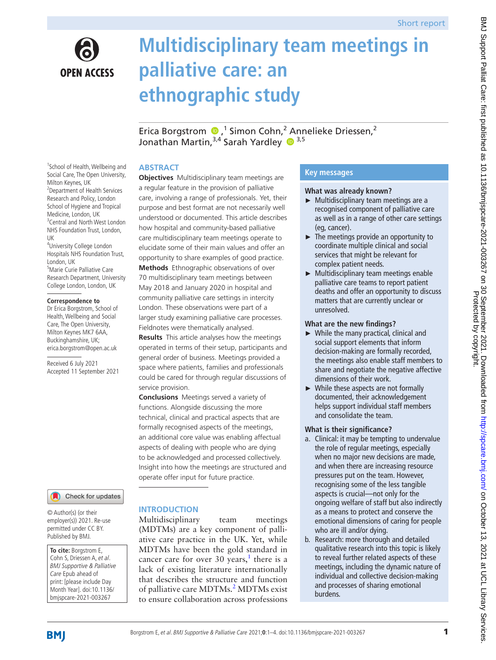

# **Multidisciplinary team meetings in palliative care: an ethnographic study**

EricaBorgstrom  $\bullet$ ,<sup>1</sup> Simon Cohn,<sup>2</sup> Annelieke Driessen,<sup>2</sup> Jonathan Martin, 3,4 Sarah Yardley <sup>3,5</sup>

# **ABSTRACT**

<sup>1</sup>School of Health, Wellbeing and Social Care, The Open University, Milton Keynes, UK 2 Department of Health Services Research and Policy, London School of Hygiene and Tropical Medicine, London, UK <sup>3</sup> Central and North West London NHS Foundation Trust, London, UK 4 University College London Hospitals NHS Foundation Trust,

London, UK 5 Marie Curie Palliative Care Research Department, University College London, London, UK

#### **Correspondence to**

Dr Erica Borgstrom, School of Health, Wellbeing and Social Care, The Open University, Milton Keynes MK7 6AA, Buckinghamshire, UK; erica.borgstrom@open.ac.uk

Received 6 July 2021 Accepted 11 September 2021

# Check for updates

© Author(s) (or their employer(s)) 2021. Re-use permitted under CC BY. Published by BMJ.

**To cite:** Borgstrom E, Cohn S, Driessen A, et al. BMJ Supportive & Palliative Care Epub ahead of print: [please include Day Month Year]. doi:10.1136/ bmjspcare-2021-003267

# a regular feature in the provision of palliative care, involving a range of professionals. Yet, their purpose and best format are not necessarily well understood or documented. This article describes how hospital and community-based palliative care multidisciplinary team meetings operate to elucidate some of their main values and offer an opportunity to share examples of good practice. **Methods** Ethnographic observations of over 70 multidisciplinary team meetings between May 2018 and January 2020 in hospital and community palliative care settings in intercity London. These observations were part of a larger study examining palliative care processes. Fieldnotes were thematically analysed. **Results** This article analyses how the meetings

**Objectives** Multidisciplinary team meetings are

operated in terms of their setup, participants and general order of business. Meetings provided a space where patients, families and professionals could be cared for through regular discussions of service provision.

**Conclusions** Meetings served a variety of functions. Alongside discussing the more technical, clinical and practical aspects that are formally recognised aspects of the meetings, an additional core value was enabling affectual aspects of dealing with people who are dying to be acknowledged and processed collectively. Insight into how the meetings are structured and operate offer input for future practice.

# **INTRODUCTION**

Multidisciplinary team meetings (MDTMs) are a key component of palliative care practice in the UK. Yet, while MDTMs have been the gold standard in cancer care for over 30 years,<sup>[1](#page-3-0)</sup> there is a lack of existing literature internationally that describes the structure and function of palliative care MDTMs.<sup>2</sup> MDTMs exist to ensure collaboration across professions

# **Key messages**

### **What was already known?**

- ► Multidisciplinary team meetings are a recognised component of palliative care as well as in a range of other care settings (eg, cancer).
- $\blacktriangleright$  The meetings provide an opportunity to coordinate multiple clinical and social services that might be relevant for complex patient needs.
- ► Multidisciplinary team meetings enable palliative care teams to report patient deaths and offer an opportunity to discuss matters that are currently unclear or unresolved.

# **What are the new findings?**

- ► While the many practical, clinical and social support elements that inform decision-making are formally recorded, the meetings also enable staff members to share and negotiate the negative affective dimensions of their work.
- ► While these aspects are not formally documented, their acknowledgement helps support individual staff members and consolidate the team.

# **What is their significance?**

- a. Clinical: it may be tempting to undervalue the role of regular meetings, especially when no major new decisions are made, and when there are increasing resource pressures put on the team. However, recognising some of the less tangible aspects is crucial—not only for the ongoing welfare of staff but also indirectly as a means to protect and conserve the emotional dimensions of caring for people who are ill and/or dying.
- b. Research: more thorough and detailed qualitative research into this topic is likely to reveal further related aspects of these meetings, including the dynamic nature of individual and collective decision-making and processes of sharing emotional burdens.

**BMJ**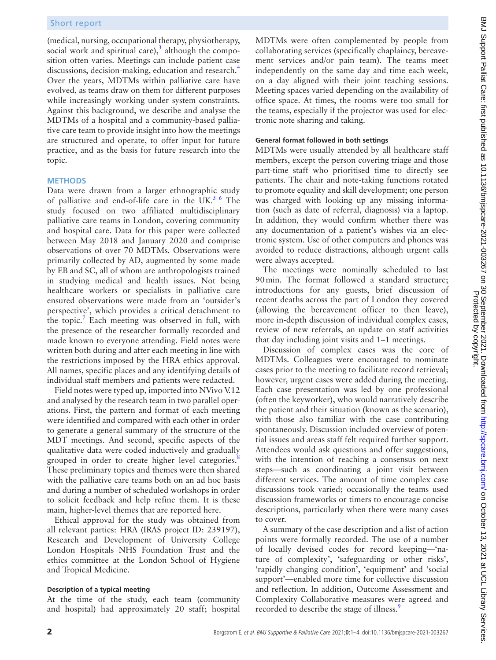(medical, nursing, occupational therapy, physiotherapy, social work and spiritual care)[,](https://www.bmj.com/content/340/bmj.c951.full) $3$  although the composition often varies. Meetings can include patient case discussions, decision-making, education and research.<sup>[4](#page-3-3)</sup> Over the years, MDTMs within palliative care have evolved, as teams draw on them for different purposes while increasingly working under system constraints. Against this background, we describe and analyse the MDTMs of a hospital and a community-based palliative care team to provide insight into how the meetings are structured and operate, to offer input for future practice, and as the basis for future research into the topic.

#### **METHODS**

Data were drawn from a larger ethnographic study of palliative and end-of-life care in the UK.<sup>5 6</sup> The study focused on two affiliated multidisciplinary palliative care teams in London, covering community and hospital care. Data for this paper were collected between May 2018 and January 2020 and comprise observations of over 70 MDTMs. Observations were primarily collected by AD, augmented by some made by EB and SC, all of whom are anthropologists trained in studying medical and health issues. Not being healthcare workers or specialists in palliative care ensured observations were made from an 'outsider's perspective', which provides a critical detachment to the topic.<sup>[7](#page-3-5)</sup> Each meeting was observed in full, with the presence of the researcher formally recorded and made known to everyone attending. Field notes were written both during and after each meeting in line with the restrictions imposed by the HRA ethics approval. All names, specific places and any identifying details of individual staff members and patients were redacted.

Field notes were typed up, imported into NVivo V.12 and analysed by the research team in two parallel operations. First, the pattern and format of each meeting were identified and compared with each other in order to generate a general summary of the structure of the MDT meetings. And second, specific aspects of the qualitative data were coded inductively and gradually grouped in order to create higher level categories.<sup>[8](#page-3-6)</sup> These preliminary topics and themes were then shared with the palliative care teams both on an ad hoc basis and during a number of scheduled workshops in order to solicit feedback and help refine them. It is these main, higher-level themes that are reported here.

Ethical approval for the study was obtained from all relevant parties: HRA (IRAS project ID: 239197), Research and Development of University College London Hospitals NHS Foundation Trust and the ethics committee at the London School of Hygiene and Tropical Medicine.

#### **Description of a typical meeting**

At the time of the study, each team (community and hospital) had approximately 20 staff; hospital

MDTMs were often complemented by people from collaborating services (specifically chaplaincy, bereavement services and/or pain team). The teams meet independently on the same day and time each week, on a day aligned with their joint teaching sessions. Meeting spaces varied depending on the availability of office space. At times, the rooms were too small for the teams, especially if the projector was used for electronic note sharing and taking.

## **General format followed in both settings**

MDTMs were usually attended by all healthcare staff members, except the person covering triage and those part-time staff who prioritised time to directly see patients. The chair and note-taking functions rotated to promote equality and skill development; one person was charged with looking up any missing information (such as date of referral, diagnosis) via a laptop. In addition, they would confirm whether there was any documentation of a patient's wishes via an electronic system. Use of other computers and phones was avoided to reduce distractions, although urgent calls were always accepted.

The meetings were nominally scheduled to last 90min. The format followed a standard structure; introductions for any guests, brief discussion of recent deaths across the part of London they covered (allowing the bereavement officer to then leave), more in-depth discussion of individual complex cases, review of new referrals, an update on staff activities that day including joint visits and 1–1 meetings.

Discussion of complex cases was the core of MDTMs. Colleagues were encouraged to nominate cases prior to the meeting to facilitate record retrieval; however, urgent cases were added during the meeting. Each case presentation was led by one professional (often the keyworker), who would narratively describe the patient and their situation (known as the scenario), with those also familiar with the case contributing spontaneously. Discussion included overview of potential issues and areas staff felt required further support. Attendees would ask questions and offer suggestions, with the intention of reaching a consensus on next steps—such as coordinating a joint visit between different services. The amount of time complex case discussions took varied; occasionally the teams used discussion frameworks or timers to encourage concise descriptions, particularly when there were many cases to cover.

A summary of the case description and a list of action points were formally recorded. The use of a number of locally devised codes for record keeping—'nature of complexity', 'safeguarding or other risks', 'rapidly changing condition', 'equipment' and 'social support'—enabled more time for collective discussion and reflection. In addition, Outcome Assessment and Complexity Collaborative measures were agreed and recorded to describe the stage of illness.<sup>[9](#page-3-7)</sup>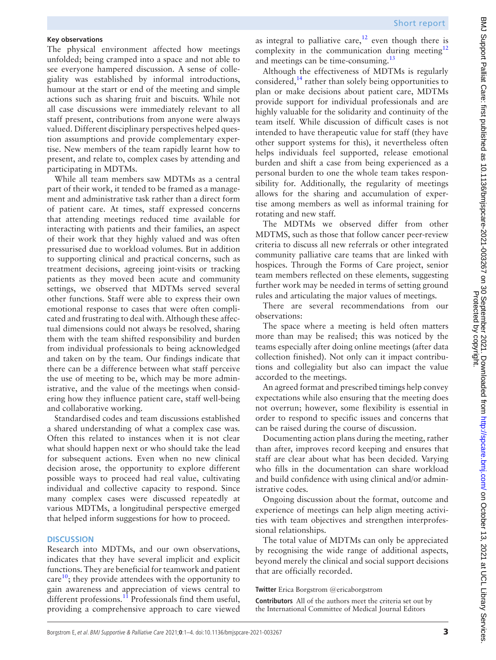# **Key observations**

The physical environment affected how meetings unfolded; being cramped into a space and not able to see everyone hampered discussion. A sense of collegiality was established by informal introductions, humour at the start or end of the meeting and simple actions such as sharing fruit and biscuits. While not all case discussions were immediately relevant to all staff present, contributions from anyone were always valued. Different disciplinary perspectives helped question assumptions and provide complementary expertise. New members of the team rapidly learnt how to present, and relate to, complex cases by attending and participating in MDTMs.

While all team members saw MDTMs as a central part of their work, it tended to be framed as a management and administrative task rather than a direct form of patient care. At times, staff expressed concerns that attending meetings reduced time available for interacting with patients and their families, an aspect of their work that they highly valued and was often pressurised due to workload volumes. But in addition to supporting clinical and practical concerns, such as treatment decisions, agreeing joint-visits or tracking patients as they moved been acute and community settings, we observed that MDTMs served several other functions. Staff were able to express their own emotional response to cases that were often complicated and frustrating to deal with. Although these affectual dimensions could not always be resolved, sharing them with the team shifted responsibility and burden from individual professionals to being acknowledged and taken on by the team. Our findings indicate that there can be a difference between what staff perceive the use of meeting to be, which may be more administrative, and the value of the meetings when considering how they influence patient care, staff well-being and collaborative working.

Standardised codes and team discussions established a shared understanding of what a complex case was. Often this related to instances when it is not clear what should happen next or who should take the lead for subsequent actions. Even when no new clinical decision arose, the opportunity to explore different possible ways to proceed had real value, cultivating individual and collective capacity to respond. Since many complex cases were discussed repeatedly at various MDTMs, a longitudinal perspective emerged that helped inform suggestions for how to proceed.

# **DISCUSSION**

Research into MDTMs, and our own observations, indicates that they have several implicit and explicit functions. They are beneficial for teamwork and patient care $^{10}$ ; they provide attendees with the opportunity to gain awareness and appreciation of views central to different professions.<sup>11</sup> Professionals find them useful, providing a comprehensive approach to care viewed

as integral to palliative care,<sup>12</sup> even though there is complexity in the communication during meeting $12$ and meetings can be time-consuming.<sup>[13](#page-3-11)</sup>

Although the effectiveness of MDTMs is regularly considered, $^{14}$  $^{14}$  $^{14}$  rather than solely being opportunities to plan or make decisions about patient care, MDTMs provide support for individual professionals and are highly valuable for the solidarity and continuity of the team itself. While discussion of difficult cases is not intended to have therapeutic value for staff (they have other support systems for this), it nevertheless often helps individuals feel supported, release emotional burden and shift a case from being experienced as a personal burden to one the whole team takes responsibility for. Additionally, the regularity of meetings allows for the sharing and accumulation of expertise among members as well as informal training for rotating and new staff.

The MDTMs we observed differ from other MDTMS, such as those that follow cancer peer-review criteria to discuss all new referrals or other integrated community palliative care teams that are linked with hospices. Through the Forms of Care project, senior team members reflected on these elements, suggesting further work may be needed in terms of setting ground rules and articulating the major values of meetings.

There are several recommendations from our observations:

The space where a meeting is held often matters more than may be realised; this was noticed by the teams especially after doing online meetings (after data collection finished). Not only can it impact contributions and collegiality but also can impact the value accorded to the meetings.

An agreed format and prescribed timings help convey expectations while also ensuring that the meeting does not overrun; however, some flexibility is essential in order to respond to specific issues and concerns that can be raised during the course of discussion.

Documenting action plans during the meeting, rather than after, improves record keeping and ensures that staff are clear about what has been decided. Varying who fills in the documentation can share workload and build confidence with using clinical and/or administrative codes.

Ongoing discussion about the format, outcome and experience of meetings can help align meeting activities with team objectives and strengthen interprofessional relationships.

The total value of MDTMs can only be appreciated by recognising the wide range of additional aspects, beyond merely the clinical and social support decisions that are officially recorded.

# **Twitter** Erica Borgstrom [@ericaborgstrom](https://twitter.com/ericaborgstrom)

**Contributors** All of the authors meet the criteria set out by the International Committee of Medical Journal Editors